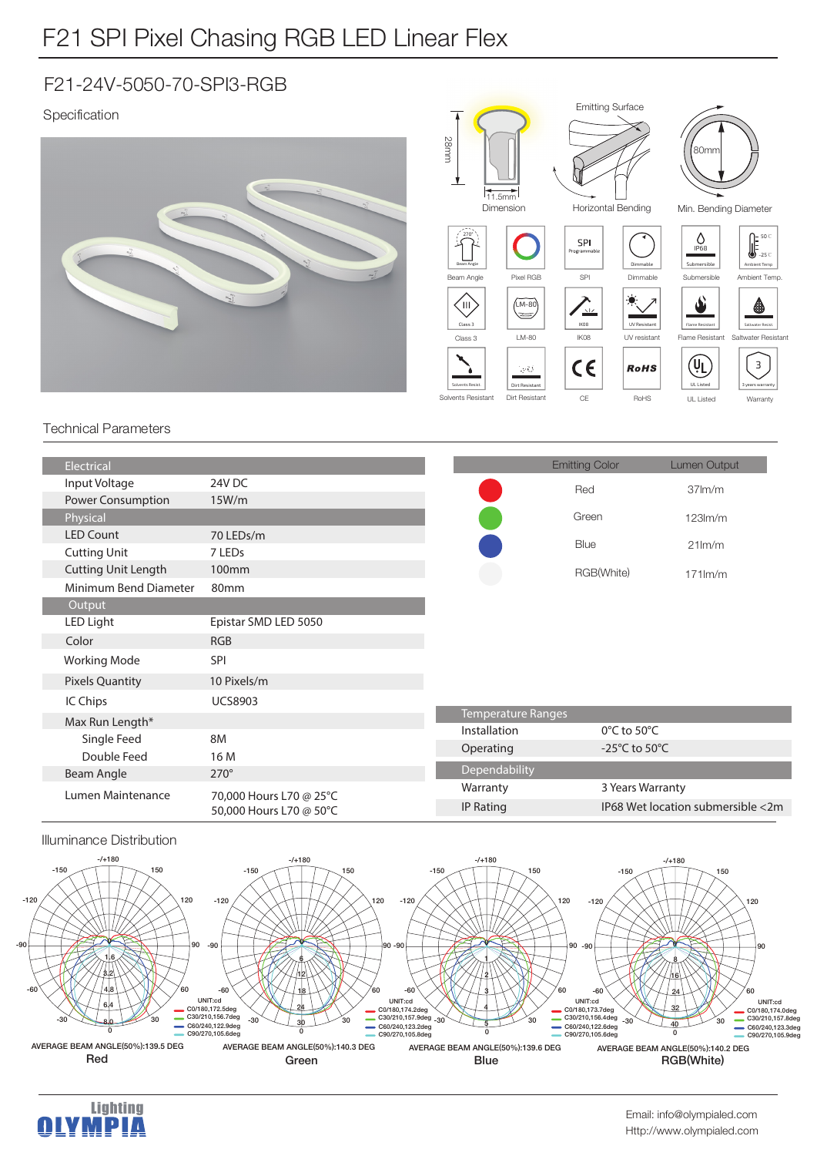## F21 SPI Pixel Chasing RGB LED Linear Flex

### F21-24V-5050-70-SPI3-RGB

### Specification



Emitting Surface

#### Technical Parameters

| Electrical                 |                                                    |               | <b>Emitting Color</b>             | Lumen Output                      |  |
|----------------------------|----------------------------------------------------|---------------|-----------------------------------|-----------------------------------|--|
| Input Voltage              | 24V DC                                             |               | Red                               | 37 <sub>lm</sub> /m               |  |
| Power Consumption          | 15W/m                                              |               |                                   |                                   |  |
| Physical                   |                                                    |               | Green                             | $123$ m/m                         |  |
| <b>LED Count</b>           | 70 LEDs/m                                          |               | Blue                              | $21$ lm/m                         |  |
| <b>Cutting Unit</b>        | 7 LEDs                                             |               |                                   |                                   |  |
| <b>Cutting Unit Length</b> | 100 <sub>mm</sub>                                  |               | RGB(White)                        | $171$ m/m                         |  |
| Minimum Bend Diameter      | 80mm                                               |               |                                   |                                   |  |
| Output                     |                                                    |               |                                   |                                   |  |
| LED Light                  | Epistar SMD LED 5050                               |               |                                   |                                   |  |
| Color                      | <b>RGB</b>                                         |               |                                   |                                   |  |
| <b>Working Mode</b>        | <b>SPI</b>                                         |               |                                   |                                   |  |
| <b>Pixels Quantity</b>     | 10 Pixels/m                                        |               |                                   |                                   |  |
| IC Chips                   | <b>UCS8903</b>                                     |               |                                   |                                   |  |
| Max Run Length*            |                                                    |               | <b>Temperature Ranges</b>         |                                   |  |
| Single Feed                | 8M                                                 | Installation  | $0^{\circ}$ C to 50 $^{\circ}$ C  |                                   |  |
| Double Feed                | 16 M                                               | Operating     | -25 $\degree$ C to 50 $\degree$ C |                                   |  |
| Beam Angle                 | $270^\circ$                                        | Dependability |                                   |                                   |  |
| Lumen Maintenance          | 70,000 Hours L70 @ 25°C<br>50,000 Hours L70 @ 50°C | Warranty      | 3 Years Warranty                  |                                   |  |
|                            |                                                    | IP Rating     |                                   | IP68 Wet location submersible <2m |  |
|                            |                                                    |               |                                   |                                   |  |